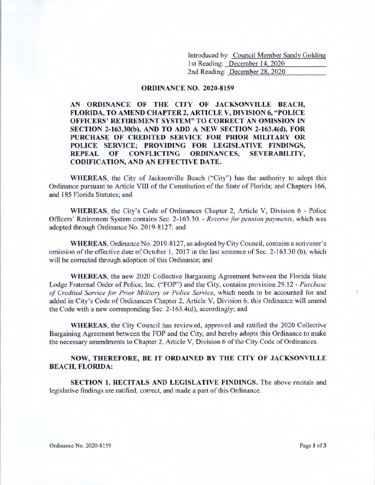Introduced by: Council Member Sandy Golding 1st Reading: December 14, 2020 2nd Reading: December 28, 2020

### **ORDINANCE NO. 2020-8159**

**AN ORDINANCE OF THE CITY OF JACKSONVILLE BEACH, FLORIDA, TO AMEND CHAPTER 2, ARTICLE V, DIVISION 6, "POLICE OFFICERS' RETIREMENT SYSTEM" TO CORRECT AN OMISSION IN SECTION 2-163.30(b), AND TO ADD A NEW SECTION 2-163.4(d), FOR PURCHASE OF CREDITED SERVICE FOR PRIOR MILITARY OR POLICE SERVICE; PROVIDING FOR LEGISLATIVE FINDINGS, REPEAL OF CONFLICTING ORDINANCES, SEVERABILITY, CODIFICATION, AND AN EFFECTIVE DATE.** 

**WHEREAS,** the City of Jacksonville Beach ("City") has the authority to adopt this Ordinance pursuant to Article VIII of the Constitution of the State of Florida; and Chapters 166, and 185 Florida Statutes; and

**WHEREAS,** the City's Code of Ordinances Chapter 2, Article V, Division 6 - Police Officers' Retirement System contains Sec. 2-163.30. - *Reserve for pension payments,* which was adopted through Ordinance No. 2019-8127; and

**WHEREAS,** Ordinance No. 2019-812 7, as adopted by City Council, contains a scrivener's omission of the effective date of October 1, 2017 in the last sentence of Sec. 2-163.30 (b), which will be corrected through adoption of this Ordinance; and

**WHEREAS,** the new 2020 Collective Bargaining Agreement between the Florida State Lodge Fraternal Order of Police, Inc. ("FOP") and the City, contains provision 29.12 - *Purchase of Credited Service for Prior Military or Police Service,* which needs to be accounted for and added in City's Code of Ordinances Chapter 2, Article V, Division 6; this Ordinance will amend the Code with a new corresponding Sec. 2-163.4(d), accordingly; and

**WHEREAS,** the City Council has reviewed, approved and ratified the 2020 Collective Bargaining Agreement between the FOP and the City, and hereby adopts this Ordinance to make the necessary amendments to Chapter 2, Article V, Division 6 of the City Code of Ordinances.

## **NOW, THEREFORE, BE IT ORDAINED BY THE CITY OF JACKSONVILLE BEACH, FLORIDA:**

**SECTION 1. RECITALS AND LEGISLATIVE FINDINGS.** The above recitals and legislative fmdings are ratified, correct, and made a part of this Ordinance.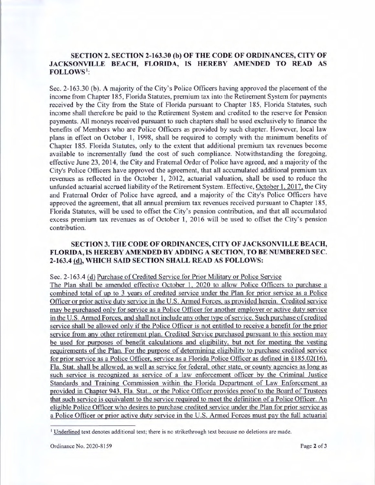# **SECTION 2. SECTION 2-163.30 (b) OF THE CODE OF ORDINANCES, CITY OF JACKSONVILLE BEACH, FLORIDA, IS HEREBY AMENDED TO READ AS FOLLOWS** 1:

Sec. 2-163.30 (b). A majority of the City's Police Officers having approved the placement of the income from Chapter 185, Florida Statutes, premium tax into the Retirement System for payments received by the City from the State of Florida pursuant to Chapter 185, Florida Statutes, such income shall therefore be paid to the Retirement System and credited to the reserve for Pension payments. All moneys received pursuant to such chapters shall be used exclusively to finance the benefits of Members who are Police Officers as provided by such chapter. However, local law plans in effect on October I, 1998, shall be required to comply with the minimum benefits of Chapter 185. Florida Statutes, only to the extent that additional premium tax revenues become available to incrementally fund the cost of such compliance. Notwithstanding the foregoing, effective June 23, 2014, the City and Fraternal Order of Police have agreed, and a majority of the City's Police Officers have approved the agreement, that all accumulated additional premium tax revenues as reflected in the October 1, 2012, actuarial valuation, shall be used to reduce the unfunded actuarial accrued liability of the Retirement System. Effective, October 1, 2017, the City and Fraternal Order of Police have agreed, and a majority of the City's Police Officers have approved the agreement, that all annual premium tax revenues received pursuant to Chapter 185, Florida Statutes, will be used to offset the City's pension contribution, and that all accumulated excess premium tax revenues as of October 1, 2016 will be used to offset the City's pension contribution.

## **SECTION 3. THE CODE OF ORDINANCES, CITY OF JACKSONVILLE BEACH, FLORIDA, IS HEREBY AMENDED BY ADDING A SECTION, TO BE NUMBERED SEC. 2-163.4** @ , **WHICH SAID SECTION SHALL READ AS FOLLOWS:**

### Sec. 2-163.4 (d) Purchase of Credited Service for Prior Military or Police Service

The Plan shall be amended effective October 1, 2020 to allow Police Officers to purchase a combined total of up to 3 years of credited service under the Plan for prior service as a Police Officer or prior active duty service in the U.S. Armed Forces, as provided herein. Credited service may be purchased only for service as a Police Officer for another employer or active duty service in the U.S. Armed Forces, and shall not include any other type of service. Such purchase of credited service shall be allowed only if the Police Officer is not entitled to receive a benefit for the prior service from any other retirement plan. Credited Service purchased pursuant to this section may be used for purposes of benefit calculations and eligibility, but not for meeting the vesting requirements of the Plan. For the purpose of determining eligibility to purchase credited service for prior service as a Police Officer, service as a Florida Police Officer as defined in § 185.02(16), Fla. Stat. shall be allowed, as well as service for federal, other state, or county agencies as long as such service is recognized as service of a law enforcement officer by the Criminal Justice Standards and Training Commission within the Florida Department of Law Enforcement as provided in Chapter 943, Fla. Stat., or the Police Officer provides proof to the Board of Trustees that such service is equivalent to the service required to meet the definition of a Police Officer. An eligible Police Officer who desires to purchase credited service under the Plan for prior service as a Police Officer or prior active duty service in the U.S. Armed Forces must pay the full actuarial

<sup>1</sup>Underlined text denotes additional text; there is no strikethrough text because no deletions are made.